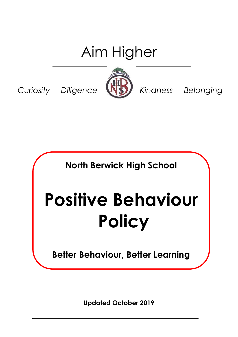# Aim Higher

*Curiosity Diligence K Kindness Belonging* 



**North Berwick High School**

# **Positive Behaviour Policy**

**Better Behaviour, Better Learning**

**Updated October 2019**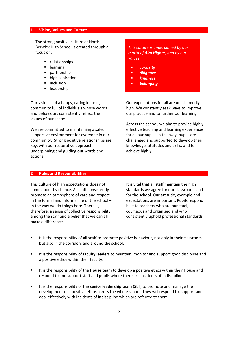#### **1 Vision, Values and Culture**

The strong positive culture of North Berwick High School is created through a focus on:

- **•** relationships
- **-** learning
- **P** partnership
- high aspirations
- $\blacksquare$  inclusion
- **-** leadership

 *This culture is underpinned by our motto of Aim Higher, and by our values:*

- *curiosity*
- *diligence*
- *kindness*
- *belonging*

Our vision is of a happy, caring learning community full of individuals whose words and behaviours consistently reflect the values of our school.

We are committed to maintaining a safe. supportive environment for everyone in our community. Strong positive relationships are key, with our restorative approach underpinning and guiding our words and actions.

Our expectations for all are unashamedly high. We constantly seek ways to improve our practice and to further our learning.

Across the school, we aim to provide highly effective teaching and learning experiences for all our pupils. In this way, pupils are challenged and supported to develop their knowledge, attitudes and skills, and to achieve highly.

#### **2 Roles and Responsibilities**

This culture of high expectations does not come about by chance. All staff consistently promote an atmosphere of care and respect in the formal and informal life of the school – in the way we do things here. There is, therefore, a sense of collective responsibility among the staff and a belief that we can all make a difference.

It is vital that all staff maintain the high standards we agree for our classrooms and for the school. Our attitude, example and expectations are important. Pupils respond best to teachers who are punctual, courteous and organised and who consistently uphold professional standards.

- It is the responsibility of **all staff** to promote positive behaviour, not only in their classroom but also in the corridors and around the school.
- It is the responsibility of **faculty leaders** to maintain, monitor and support good discipline and a positive ethos within their faculty.
- It is the responsibility of the **House team** to develop a positive ethos within their House and respond to and support staff and pupils where there are incidents of indiscipline.
- It is the responsibility of the **senior leadership team** (SLT) to promote and manage the development of a positive ethos across the whole school. They will respond to, support and deal effectively with incidents of indiscipline which are referred to them.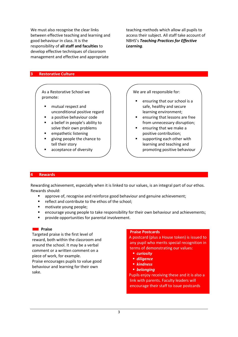We must also recognise the clear links between effective teaching and learning and good behaviour in class. It is the responsibility of **all staff and faculties** to develop effective techniques of classroom management and effective and appropriate

teaching methods which allow all pupils to access their subject. All staff take account of NBHS's *Teaching Practices for Effective Learning.*

#### **3 Restorative Culture**

As a Restorative School we promote:

- **F** mutual respect and unconditional positive regard
- a positive behaviour code
- a belief in people's ability to solve their own problems
- empathetic listening
- giving people the chance to tell their story
- acceptance of diversity an inclusive approach to

We are all responsible for:

- ensuring that our school is a safe, healthy and secure learning environment;
- ensuring that lessons are free from unnecessary disruption;
- $\blacksquare$  ensuring that we make a positive contribution;
- supporting each other with learning and teaching and promoting positive behaviour

#### **4 Rewards**

Rewarding achievement, especially when it is linked to our values, is an integral part of our ethos. Rewards should:

- approve of, recognise and reinforce good behaviour and genuine achievement;
- **F** reflect and contribute to the ethos of the school;
- motivate young people;
- encourage young people to take responsibility for their own behaviour and achievements;
- provide opportunities for parental involvement.

#### **Reserves**

Targeted praise is the first level of reward, both within the classroom and around the school. It may be a verbal comment or a written comment on a piece of work, for example.

Praise encourages pupils to value good behaviour and learning for their own sake.

#### **Praise Postcards**

 A postcard (plus a House token) is issued to any pupil who merits special recognition in terms of demonstrating our values:

- *curiosity*
- *diligence*
- *kindness*
- *belonging*

 Pupils enjoy receiving these and it is also a link with parents. Faculty leaders will encourage their staff to issue postcards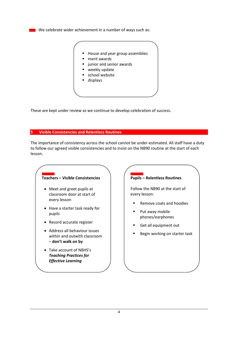$\blacksquare$  We celebrate wider achievement in a number of ways such as:



These are kept under review as we continue to develop celebration of success.

#### **5 Visible Consistencies and Relentless Routines**

The importance of consistency across the school cannot be under-estimated. All staff have a duty to follow our agreed visible consistencies and to insist on the NB90 routine at the start of each lesson.

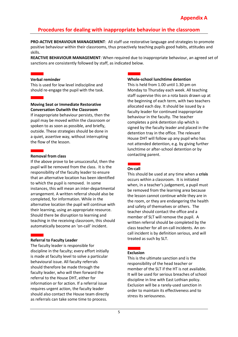# **Procedures for dealing with inappropriate behaviour in the classroom**

**PRO-ACTIVE BEHAVIOUR MANAGEMENT**: All staff use restorative language and strategies to promote positive behaviour within their classrooms, thus proactively teaching pupils good habits, attitudes and skills.

**REACTIVE BEHAVIOUR MANAGEMENT**: When required due to inappropriate behaviour, an agreed set of sanctions are consistently followed by staff, as indicated below.

#### **Verbal reminder**

This is used for low level indiscipline and should re-engage the pupil with the task.

#### **Moving Seat or Immediate Restorative Conversation Outwith the Classroom**

If inappropriate behaviour persists, then the pupil may be moved within the classroom or spoken to as soon as possible, and briefly, outside. These strategies should be done in a quiet, assertive way, without interrupting the flow of the lesson.

#### **Removal from class**

If the above prove to be unsuccessful, then the pupil will be removed from the class. It is the responsibility of the faculty leader to ensure that an alternative location has been identified to which the pupil is removed. In some instances, this will mean an inter-departmental arrangement. A written referral should also be completed, for information. While in the alternative location the pupil will continue with their learning, using an appropriate resource. Should there be disruption to learning and teaching in the receiving classroom, this should automatically become an 'on-call' incident.

#### **Referral to Faculty Leader**

The faculty leader is responsible for discipline in the faculty; every effort initially is made at faculty level to solve a particular behavioural issue. All faculty referrals should therefore be made through the faculty leader, who will then forward the referral to the House DHT, either for information or for action. If a referral issue requires urgent action, the faculty leader should also contact the House team directly as referrals can take some time to process.



This is held from 1.00 until 1.30 pm on Monday to Thursday each week. All teaching staff supervise this on a rota basis drawn up at the beginning of each term, with two teachers allocated each day. It should be issued by a faculty leader for continued inappropriate behaviour in the faculty. The teacher completes a pink detention slip which is signed by the faculty leader and placed in the detention tray in the office. The relevant House DHT will follow up any pupil who has not attended detention, e.g. by giving further lunchtime or after-school detention or by contacting parent.

## **On-call**

This should be used at any time when a **crisis**  occurs within a classroom. It is initiated when, in a teacher's judgement, a pupil must be removed from the learning area because the lesson cannot continue while they are in the room, or they are endangering the health and safety of themselves or others. The teacher should contact the office and a member of SLT will remove the pupil. A written referral should be completed by the class teacher for all on-call incidents. An oncall incident is by definition serious, and will treated as such by SLT.

#### **Exclusion**

This is the ultimate sanction and is the responsibility of the head teacher or member of the SLT if the HT is not available. It will be used for serious breaches of school discipline in line with East Lothian policy. Exclusion will be a rarely-used sanction in order to maintain its effectiveness and to stress its seriousness.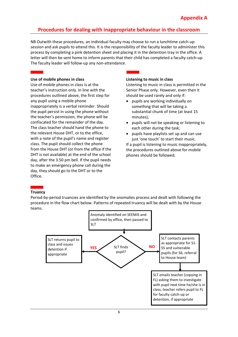# **Procedures for dealing with inappropriate behaviour in the classroom**

NB Outwith these procedures, an individual faculty may choose to run a lunchtime catch-up session and ask pupils to attend this. It is the responsibility of the faculty leader to administer this process by completing a pink detention sheet and placing it in the detention tray in the office. A letter will then be sent home to inform parents that their child has completed a faculty catch-up. The faculty leader will follow-up any non-attendance.

#### **Use of mobile phones in class**

Use of mobile phones in class is at the teacher's instruction only. In line with the procedures outlined above, the first step for any pupil using a mobile phone inappropriately is a verbal reminder. Should the pupil persist in using the phone without the teacher's permission, the phone will be confiscated for the remainder of the day. The class teacher should hand the phone to the relevant House DHT, or to the office, with a note of the pupil's name and register class. The pupil should collect the phone from the House DHT (or from the office if the DHT is not available) at the end of the school day, after the 3.50 pm bell. If the pupil needs to make an emergency phone call during the day, they should go to the DHT or to the Office.

#### **Listening to music in class**

Listening to music in class is permitted in the Senior Phase only. However, even then it should be used rarely and only if:

- pupils are working individually on something that will be taking a substantial chunk of time (at least 15 minutes);
- pupils will not be speaking or listening to each other during the task;
- pupils have playlists set up and can use just 'one touch' to start their music.

If a pupil is listening to music inappropriately, the procedures outlined above for mobile phones should be followed.

#### **Truancy**

Period-by-period truancies are identified by the anomalies process and dealt with following the procedure in the flow chart below. Patterns of repeated truancy will be dealt with by the House teams.

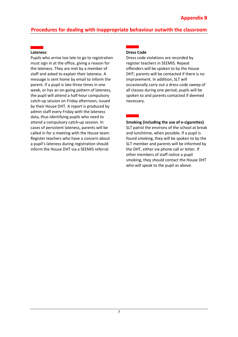# **Procedures for dealing with inappropriate behaviour outwith the classroom**

#### **Lateness**

Pupils who arrive too late to go to registration must sign in at the office, giving a reason for the lateness. They are met by a member of staff and asked to explain their lateness. A message is sent home by email to inform the parent. If a pupil is late three times in one week, or has an on-going pattern of lateness, the pupil will attend a half-hour compulsory catch-up session on Friday afternoon, issued by their House DHT. A report is produced by admin staff every Friday with the lateness data, thus identifying pupils who need to attend a compulsory catch-up session. In cases of persistent lateness, parents will be called in for a meeting with the House team. Register teachers who have a concern about a pupil's lateness during registration should inform the House DHT via a SEEMIS referral.

### **Dress Code**

necessary.

Dress code violations are recorded by register teachers in SEEMIS. Repeat offenders will be spoken to by the House DHT; parents will be contacted if there is no improvement. In addition, SLT will occasionally carry out a dress code sweep of all classes during one period; pupils will be spoken to and parents contacted if deemed

**Smoking (including the use of e-cigarettes)** SLT patrol the environs of the school at break and lunchtime, when possible. If a pupil is found smoking, they will be spoken to by the SLT member and parents will be informed by the DHT, either via phone call or letter. If other members of staff notice a pupil smoking, they should contact the House DHT who will speak to the pupil as above.